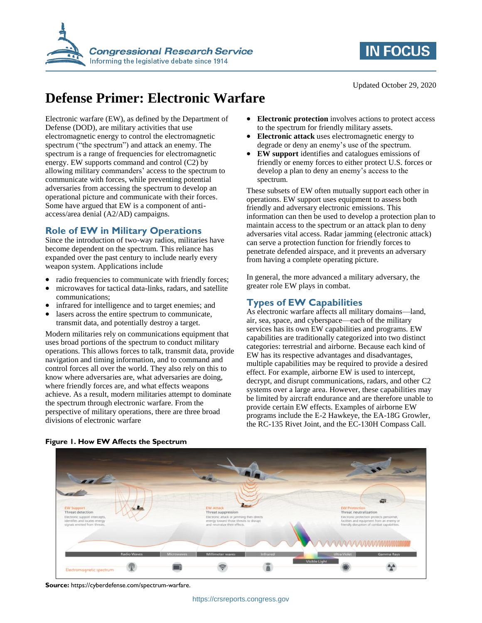



Updated October 29, 2020

# **Defense Primer: Electronic Warfare**

Electronic warfare (EW), as defined by the Department of Defense (DOD), are military activities that use electromagnetic energy to control the electromagnetic spectrum ("the spectrum") and attack an enemy. The spectrum is a range of frequencies for electromagnetic energy. EW supports command and control (C2) by allowing military commanders' access to the spectrum to communicate with forces, while preventing potential adversaries from accessing the spectrum to develop an operational picture and communicate with their forces. Some have argued that EW is a component of antiaccess/area denial (A2/AD) campaigns.

### **Role of EW in Military Operations**

Since the introduction of two-way radios, militaries have become dependent on the spectrum. This reliance has expanded over the past century to include nearly every weapon system. Applications include

- radio frequencies to communicate with friendly forces;
- microwaves for tactical data-links, radars, and satellite communications;
- infrared for intelligence and to target enemies; and
- lasers across the entire spectrum to communicate, transmit data, and potentially destroy a target.

Modern militaries rely on communications equipment that uses broad portions of the spectrum to conduct military operations. This allows forces to talk, transmit data, provide navigation and timing information, and to command and control forces all over the world. They also rely on this to know where adversaries are, what adversaries are doing, where friendly forces are, and what effects weapons achieve. As a result, modern militaries attempt to dominate the spectrum through electronic warfare. From the perspective of military operations, there are three broad divisions of electronic warfare

- **Electronic protection** involves actions to protect access to the spectrum for friendly military assets.
- **Electronic attack** uses electromagnetic energy to degrade or deny an enemy's use of the spectrum.
- **EW support** identifies and catalogues emissions of friendly or enemy forces to either protect U.S. forces or develop a plan to deny an enemy's access to the spectrum.

These subsets of EW often mutually support each other in operations. EW support uses equipment to assess both friendly and adversary electronic emissions. This information can then be used to develop a protection plan to maintain access to the spectrum or an attack plan to deny adversaries vital access. Radar jamming (electronic attack) can serve a protection function for friendly forces to penetrate defended airspace, and it prevents an adversary from having a complete operating picture.

In general, the more advanced a military adversary, the greater role EW plays in combat.

### **Types of EW Capabilities**

As electronic warfare affects all military domains—land, air, sea, space, and cyberspace—each of the military services has its own EW capabilities and programs. EW capabilities are traditionally categorized into two distinct categories: terrestrial and airborne. Because each kind of EW has its respective advantages and disadvantages, multiple capabilities may be required to provide a desired effect. For example, airborne EW is used to intercept, decrypt, and disrupt communications, radars, and other C2 systems over a large area. However, these capabilities may be limited by aircraft endurance and are therefore unable to provide certain EW effects. Examples of airborne EW programs include the E-2 Hawkeye, the EA-18G Growler, the RC-135 Rivet Joint, and the EC-130H Compass Call.



#### **Figure 1. How EW Affects the Spectrum**

**Source:** https://cyberdefense.com/spectrum-warfare.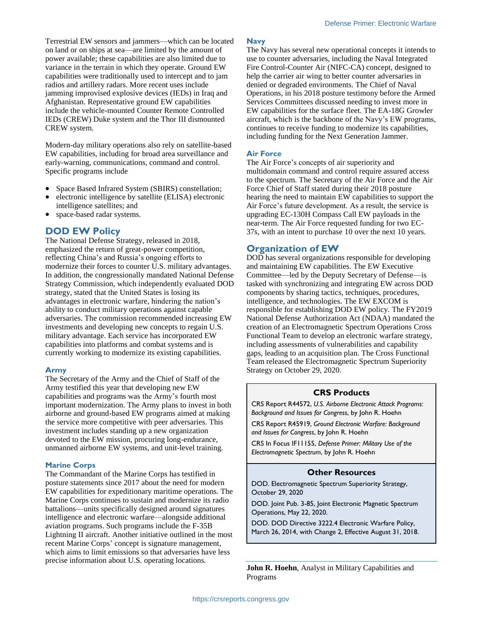Terrestrial EW sensors and jammers—which can be located on land or on ships at sea—are limited by the amount of power available; these capabilities are also limited due to variance in the terrain in which they operate. Ground EW capabilities were traditionally used to intercept and to jam radios and artillery radars. More recent uses include jamming improvised explosive devices (IEDs) in Iraq and Afghanistan. Representative ground EW capabilities include the vehicle-mounted Counter Remote Controlled IEDs (CREW) Duke system and the Thor III dismounted CREW system.

Modern-day military operations also rely on satellite-based EW capabilities, including for broad area surveillance and early-warning, communications, command and control. Specific programs include

- Space Based Infrared System (SBIRS) constellation;
- electronic intelligence by satellite (ELISA) electronic intelligence satellites; and
- space-based radar systems.

### **DOD EW Policy**

The National Defense Strategy, released in 2018, emphasized the return of great-power competition, reflecting China's and Russia's ongoing efforts to modernize their forces to counter U.S. military advantages. In addition, the congressionally mandated National Defense Strategy Commission, which independently evaluated DOD strategy, stated that the United States is losing its advantages in electronic warfare, hindering the nation's ability to conduct military operations against capable adversaries. The commission recommended increasing EW investments and developing new concepts to regain U.S. military advantage. Each service has incorporated EW capabilities into platforms and combat systems and is currently working to modernize its existing capabilities.

#### **Army**

The Secretary of the Army and the Chief of Staff of the Army testified this year that developing new EW capabilities and programs was the Army's fourth most important modernization. The Army plans to invest in both airborne and ground-based EW programs aimed at making the service more competitive with peer adversaries. This investment includes standing up a new organization devoted to the EW mission, procuring long-endurance, unmanned airborne EW systems, and unit-level training.

#### **Marine Corps**

The Commandant of the Marine Corps has testified in posture statements since 2017 about the need for modern EW capabilities for expeditionary maritime operations. The Marine Corps continues to sustain and modernize its radio battalions—units specifically designed around signatures intelligence and electronic warfare—alongside additional aviation programs. Such programs include the F-35B Lightning II aircraft. Another initiative outlined in the most recent Marine Corps' concept is signature management, which aims to limit emissions so that adversaries have less precise information about U.S. operating locations.

#### **Navy**

The Navy has several new operational concepts it intends to use to counter adversaries, including the Naval Integrated Fire Control-Counter Air (NIFC-CA) concept, designed to help the carrier air wing to better counter adversaries in denied or degraded environments. The Chief of Naval Operations, in his 2018 posture testimony before the Armed Services Committees discussed needing to invest more in EW capabilities for the surface fleet. The EA-18G Growler aircraft, which is the backbone of the Navy's EW programs, continues to receive funding to modernize its capabilities, including funding for the Next Generation Jammer.

#### **Air Force**

The Air Force's concepts of air superiority and multidomain command and control require assured access to the spectrum. The Secretary of the Air Force and the Air Force Chief of Staff stated during their 2018 posture hearing the need to maintain EW capabilities to support the Air Force's future development. As a result, the service is upgrading EC-130H Compass Call EW payloads in the near-term. The Air Force requested funding for two EC-37s, with an intent to purchase 10 over the next 10 years.

### **Organization of EW**

DOD has several organizations responsible for developing and maintaining EW capabilities. The EW Executive Committee—led by the Deputy Secretary of Defense—is tasked with synchronizing and integrating EW across DOD components by sharing tactics, techniques, procedures, intelligence, and technologies. The EW EXCOM is responsible for establishing DOD EW policy. The FY2019 National Defense Authorization Act (NDAA) mandated the creation of an Electromagnetic Spectrum Operations Cross Functional Team to develop an electronic warfare strategy, including assessments of vulnerabilities and capability gaps, leading to an acquisition plan. The Cross Functional Team released the Electromagnetic Spectrum Superiority Strategy on October 29, 2020.

#### **CRS Products**

CRS Report R44572, *U.S. Airborne Electronic Attack Programs: Background and Issues for Congress*, by John R. Hoehn

CRS Report R45919, *Ground Electronic Warfare: Background and Issues for Congress*, by John R. Hoehn

CRS In Focus IF11155, *Defense Primer: Military Use of the Electromagnetic Spectrum*, by John R. Hoehn

#### **Other Resources**

DOD. Electromagnetic Spectrum Superiority Strategy, October 29, 2020

DOD. Joint Pub. 3-85, Joint Electronic Magnetic Spectrum Operations, May 22, 2020.

DOD. DOD Directive 3222.4 Electronic Warfare Policy, March 26, 2014, with Change 2, Effective August 31, 2018.

**John R. Hoehn**, Analyst in Military Capabilities and Programs